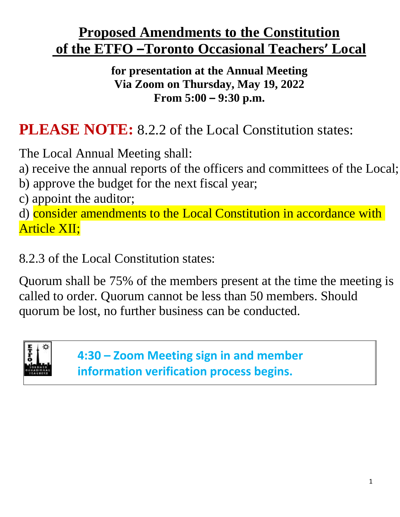# **Proposed Amendments to the Constitution of the ETFO –Toronto Occasional Teachers' Local**

**for presentation at the Annual Meeting Via Zoom on Thursday, May 19, 2022 From 5:00 – 9:30 p.m.**

# **PLEASE NOTE:** 8.2.2 of the Local Constitution states:

The Local Annual Meeting shall:

a) receive the annual reports of the officers and committees of the Local;

b) approve the budget for the next fiscal year;

c) appoint the auditor;

d) consider amendments to the Local Constitution in accordance with Article XII;

8.2.3 of the Local Constitution states:

Quorum shall be 75% of the members present at the time the meeting is called to order. Quorum cannot be less than 50 members. Should quorum be lost, no further business can be conducted.



**4:30 – Zoom Meeting sign in and member information verification process begins.**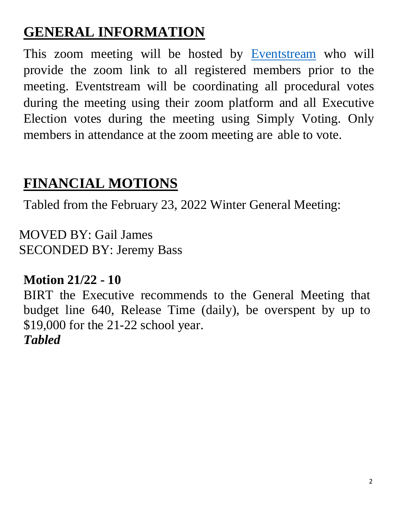# **GENERAL INFORMATION**

This zoom meeting will be hosted by [Eventstream](https://www.eventstream.ca/) who will provide the zoom link to all registered members prior to the meeting. Eventstream will be coordinating all procedural votes during the meeting using their zoom platform and all Executive Election votes during the meeting using Simply Voting. Only members in attendance at the zoom meeting are able to vote.

# **FINANCIAL MOTIONS**

Tabled from the February 23, 2022 Winter General Meeting:

MOVED BY: Gail James SECONDED BY: Jeremy Bass

# **Motion 21/22 - 10**

BIRT the Executive recommends to the General Meeting that budget line 640, Release Time (daily), be overspent by up to \$19,000 for the 21-22 school year. *Tabled*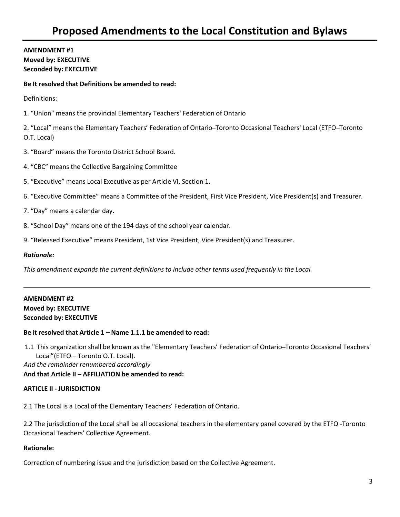## **AMENDMENT #1 Moved by: EXECUTIVE Seconded by: EXECUTIVE**

#### **Be It resolved that Definitions be amended to read:**

Definitions:

1. "Union" means the provincial Elementary Teachers' Federation of Ontario

2. "Local" means the Elementary Teachers' Federation of Ontario-Toronto Occasional Teachers' Local (ETFO-Toronto O.T. Local)

- 3. "Board" means the Toronto District School Board.
- 4. "CBC" means the Collective Bargaining Committee
- 5. "Executive" means Local Executive as per Article VI, Section 1.
- 6. "Executive Committee" means a Committee of the President, First Vice President, Vice President(s) and Treasurer.
- 7. "Day" means a calendar day.
- 8. "School Day" means one of the 194 days of the school year calendar.
- 9. "Released Executive" means President, 1st Vice President, Vice President(s) and Treasurer.

#### *Rationale:*

*This amendment expands the current definitions to include other terms used frequently in the Local.*

## **AMENDMENT #2 Moved by: EXECUTIVE Seconded by: EXECUTIVE**

#### **Be it resolved that Article 1 – Name 1.1.1 be amended to read:**

1.1 This organization shall be known as the "Elementary Teachers' Federation of Ontario ̶Toronto Occasional Teachers' Local"(ETFO – Toronto O.T. Local).

*And the remainder renumbered accordingly*

**And that Article II – AFFILIATION be amended to read:**

#### **ARTICLE II - JURISDICTION**

2.1 The Local is a Local of the Elementary Teachers' Federation of Ontario.

2.2 The jurisdiction of the Local shall be all occasional teachers in the elementary panel covered by the ETFO -Toronto Occasional Teachers' Collective Agreement.

#### **Rationale:**

Correction of numbering issue and the jurisdiction based on the Collective Agreement.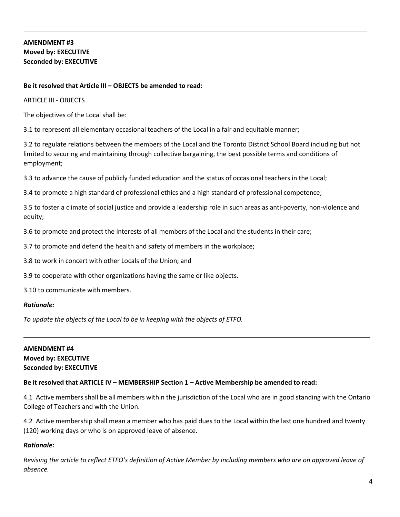# **AMENDMENT #3 Moved by: EXECUTIVE Seconded by: EXECUTIVE**

## **Be it resolved that Article III – OBJECTS be amended to read:**

ARTICLE III - OBJECTS

The objectives of the Local shall be:

3.1 to represent all elementary occasional teachers of the Local in a fair and equitable manner;

3.2 to regulate relations between the members of the Local and the Toronto District School Board including but not limited to securing and maintaining through collective bargaining, the best possible terms and conditions of employment;

3.3 to advance the cause of publicly funded education and the status of occasional teachers in the Local;

3.4 to promote a high standard of professional ethics and a high standard of professional competence;

3.5 to foster a climate of social justice and provide a leadership role in such areas as anti-poverty, non-violence and equity;

3.6 to promote and protect the interests of all members of the Local and the students in their care;

3.7 to promote and defend the health and safety of members in the workplace;

3.8 to work in concert with other Locals of the Union; and

3.9 to cooperate with other organizations having the same or like objects.

3.10 to communicate with members.

#### *Rationale:*

*To update the objects of the Local to be in keeping with the objects of ETFO.*

## **AMENDMENT #4 Moved by: EXECUTIVE Seconded by: EXECUTIVE**

## **Be it resolved that ARTICLE IV – MEMBERSHIP Section 1 – Active Membership be amended to read:**

4.1 Active members shall be all members within the jurisdiction of the Local who are in good standing with the Ontario College of Teachers and with the Union.

4.2 Active membership shall mean a member who has paid dues to the Local within the last one hundred and twenty (120) working days or who is on approved leave of absence.

## *Rationale:*

*Revising the article to reflect ETFO's definition of Active Member by including members who are on approved leave of absence.*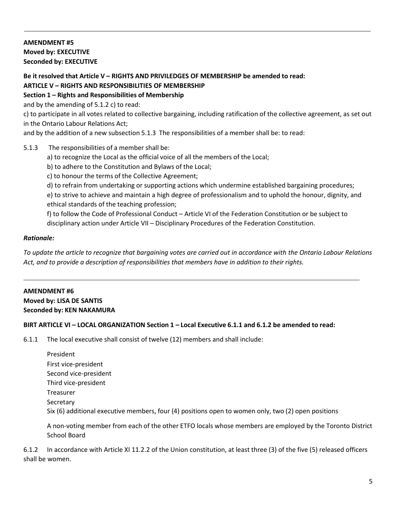# **AMENDMENT #5 Moved by: EXECUTIVE Seconded by: EXECUTIVE**

### **Be it resolved that Article V – RIGHTS AND PRIVILEDGES OF MEMBERSHIP be amended to read: ARTICLE V – RIGHTS AND RESPONSIBILITIES OF MEMBERSHIP**

# **Section 1 – Rights and Responsibilities of Membership**

and by the amending of 5.1.2 c) to read:

c) to participate in all votes related to collective bargaining, including ratification of the collective agreement, as set out in the Ontario Labour Relations Act;

and by the addition of a new subsection 5.1.3 The responsibilities of a member shall be: to read:

## 5.1.3 The responsibilities of a member shall be:

- a) to recognize the Local as the official voice of all the members of the Local;
- b) to adhere to the Constitution and Bylaws of the Local;
- c) to honour the terms of the Collective Agreement;
- d) to refrain from undertaking or supporting actions which undermine established bargaining procedures;

e) to strive to achieve and maintain a high degree of professionalism and to uphold the honour, dignity, and ethical standards of the teaching profession;

f) to follow the Code of Professional Conduct – Article VI of the Federation Constitution or be subject to disciplinary action under Article VII – Disciplinary Procedures of the Federation Constitution.

## *Rationale:*

*To update the article to recognize that bargaining votes are carried out in accordance with the Ontario Labour Relations Act, and to provide a description of responsibilities that members have in addition to their rights.*

## **AMENDMENT #6 Moved by: LISA DE SANTIS Seconded by: KEN NAKAMURA**

## BIRT ARTICLE VI - LOCAL ORGANIZATION Section 1 - Local Executive 6.1.1 and 6.1.2 be amended to read:

6.1.1 The local executive shall consist of twelve (12) members and shall include:

| President                                                                                           |
|-----------------------------------------------------------------------------------------------------|
| First vice-president                                                                                |
| Second vice-president                                                                               |
| Third vice-president                                                                                |
| Treasurer                                                                                           |
| Secretary                                                                                           |
| Six (6) additional executive members, four (4) positions open to women only, two (2) open positions |
|                                                                                                     |

A non-voting member from each of the other ETFO locals whose members are employed by the Toronto District School Board

6.1.2 In accordance with Article XI 11.2.2 of the Union constitution, at least three (3) of the five (5) released officers shall be women.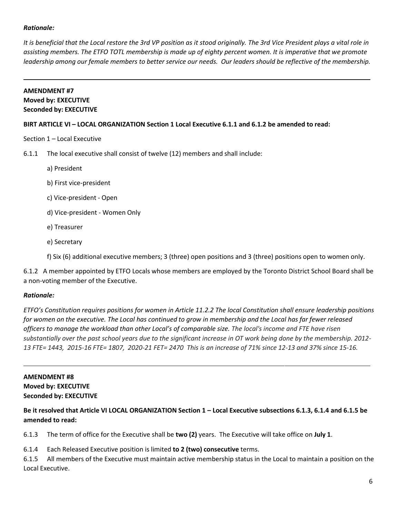## *Rationale:*

*It is beneficial that the Local restore the 3rd VP position as it stood originally. The 3rd Vice President plays a vital role in assisting members. The ETFO TOTL membership is made up of eighty percent women. It is imperative that we promote* leadership among our female members to better service our needs. Our leaders should be reflective of the membership.

## **AMENDMENT #7**

## **Moved by: EXECUTIVE Seconded by: EXECUTIVE**

## **BIRT ARTICLE VI – LOCAL ORGANIZATION Section 1 Local Executive 6.1.1 and 6.1.2 be amended to read:**

Section 1 – Local Executive

6.1.1 The local executive shall consist of twelve (12) members and shall include:

- a) President
- b) First vice-president
- c) Vice-president Open
- d) Vice-president Women Only
- e) Treasurer
- e) Secretary

f) Six (6) additional executive members; 3 (three) open positions and 3 (three) positions open to women only.

6.1.2 A member appointed by ETFO Locals whose members are employed by the Toronto District School Board shall be a non-voting member of the Executive.

## *Rationale:*

*ETFO's Constitution requires positions for women in Article 11.2.2 The local Constitution shall ensure leadership positions* for women on the executive. The Local has continued to grow in membership and the Local has far fewer released *officers to manage the workload than other Local's of comparable size. The local's income and FTE have risen substantially over the past school years due to the significant increase in OT work being done by the membership. 2012-* 13 FTE= 1443, 2015-16 FTE= 1807, 2020-21 FET= 2470 This is an increase of 71% since 12-13 and 37% since 15-16.

# **AMENDMENT #8 Moved by: EXECUTIVE Seconded by: EXECUTIVE**

# **Be it resolved that Article VI LOCAL ORGANIZATION Section 1 – Local Executive subsections 6.1.3, 6.1.4 and 6.1.5 be amended to read:**

6.1.3 The term of office for the Executive shall be **two (2)** years. The Executive will take office on **July 1**.

6.1.4 Each Released Executive position is limited **to 2 (two) consecutive** terms.

6.1.5 All members of the Executive must maintain active membership status in the Local to maintain a position on the Local Executive.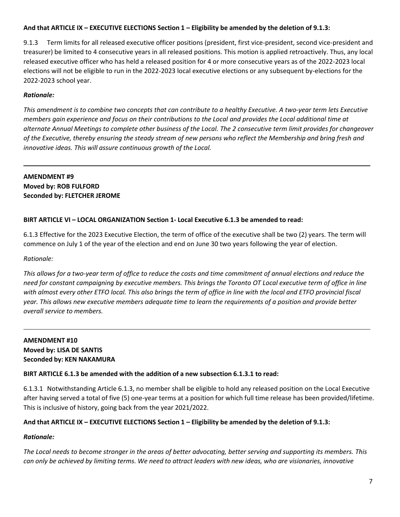## **And that ARTICLE IX – EXECUTIVE ELECTIONS Section 1 – Eligibility be amended by the deletion of 9.1.3:**

9.1.3 Term limits for all released executive officer positions (president, first vice-president, second vice-president and treasurer) be limited to 4 consecutive years in all released positions. This motion is applied retroactively. Thus, any local released executive officer who has held a released position for 4 or more consecutive years as of the 2022-2023 local elections will not be eligible to run in the 2022-2023 local executive elections or any subsequent by-elections for the 2022-2023 school year.

## *Rationale:*

*This amendment is to combine two concepts that can contribute to a healthy Executive. A two-year term lets Executive* members gain experience and focus on their contributions to the Local and provides the Local additional time at *alternate Annual Meetings to complete other business of the Local. The 2 consecutive term limit provides for changeover of the Executive, thereby ensuring the steady stream of new persons who reflect the Membership and bring fresh and innovative ideas. This will assure continuous growth of the Local.*

## **AMENDMENT #9 Moved by: ROB FULFORD Seconded by: FLETCHER JEROME**

## **BIRT ARTICLE VI – LOCAL ORGANIZATION Section 1- Local Executive 6.1.3 be amended to read:**

6.1.3 Effective for the 2023 Executive Election, the term of office of the executive shall be two (2) years. The term will commence on July 1 of the year of the election and end on June 30 two years following the year of election.

#### *Rationale:*

*This allows for a two-year term of office to reduce the costs and time commitment of annual elections and reduce the need for constant campaigning by executive members. This brings the Toronto OT Local executive term of office in line with almost every other ETFO local. This also brings the term of office in line with the local and ETFO provincial fiscal year. This allows new executive members adequate time to learn the requirements of a position and provide better overall service to members.*

## **AMENDMENT #10 Moved by: LISA DE SANTIS Seconded by: KEN NAKAMURA**

## **BIRT ARTICLE 6.1.3 be amended with the addition of a new subsection 6.1.3.1 to read:**

6.1.3.1 Notwithstanding Article 6.1.3, no member shall be eligible to hold any released position on the Local Executive after having served a total of five (5) one-year terms at a position for which full time release has been provided/lifetime. This is inclusive of history, going back from the year 2021/2022.

## **And that ARTICLE IX – EXECUTIVE ELECTIONS Section 1 – Eligibility be amended by the deletion of 9.1.3:**

## *Rationale:*

*The Local needs to become stronger in the areas of better advocating, better serving and supporting its members. This* can only be achieved by limiting terms. We need to attract leaders with new ideas, who are visionaries, innovative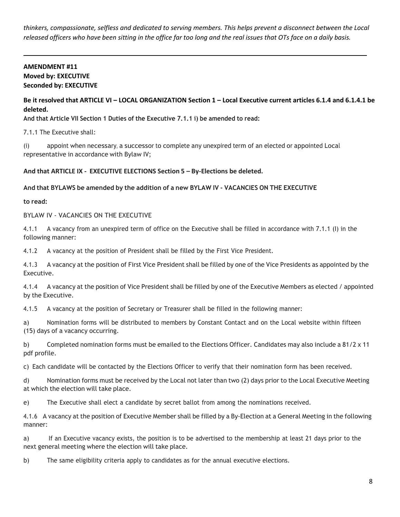*thinkers, compassionate, selfless and dedicated to serving members. This helps prevent a disconnect between the Local* released officers who have been sitting in the office far too long and the real issues that OTs face on a daily basis.

## **AMENDMENT #11 Moved by: EXECUTIVE Seconded by: EXECUTIVE**

## **Be it resolved that ARTICLE VI – LOCAL ORGANIZATION Section 1 – Local Executive current articles 6.1.4 and 6.1.4.1 be deleted.**

**And that Article VII Section 1 Duties of the Executive 7.1.1 i) be amended to read:**

7.1.1 The Executive shall:

(i) appoint when necessary, a successor to complete any unexpired term of an elected or appointed Local representative in accordance with Bylaw IV;

## **And that ARTICLE IX - EXECUTIVE ELECTIONS Section 5 – By-Elections be deleted.**

**And that BYLAWS be amended by the addition of a new BYLAW IV - VACANCIES ON THE EXECUTIVE**

**to read:**

BYLAW IV - VACANCIES ON THE EXECUTIVE

4.1.1 A vacancy from an unexpired term of office on the Executive shall be filled in accordance with 7.1.1 (I) in the following manner:

4.1.2 A vacancy at the position of President shall be filled by the First Vice President.

4.1.3 A vacancy at the position of First Vice President shall be filled by one of the Vice Presidents as appointed by the Executive.

4.1.4 A vacancy at the position of Vice President shall be filled by one of the Executive Members as elected / appointed by the Executive.

4.1.5 A vacancy at the position of Secretary or Treasurer shall be filled in the following manner:

a) Nomination forms will be distributed to members by Constant Contact and on the Local website within fifteen (15) days of a vacancy occurring.

b) Completed nomination forms must be emailed to the Elections Officer. Candidates may also include a 81/2 x 11 pdf profile.

c) Each candidate will be contacted by the Elections Officer to verify that their nomination form has been received.

d) Nomination forms must be received by the Local not later than two (2) days prior to the Local Executive Meeting at which the election will take place.

e) The Executive shall elect a candidate by secret ballot from among the nominations received.

4.1.6 A vacancy at the position of Executive Member shall be filled by a By-Election at a General Meeting in the following manner:

a) If an Executive vacancy exists, the position is to be advertised to the membership at least 21 days prior to the next general meeting where the election will take place.

b) The same eligibility criteria apply to candidates as for the annual executive elections.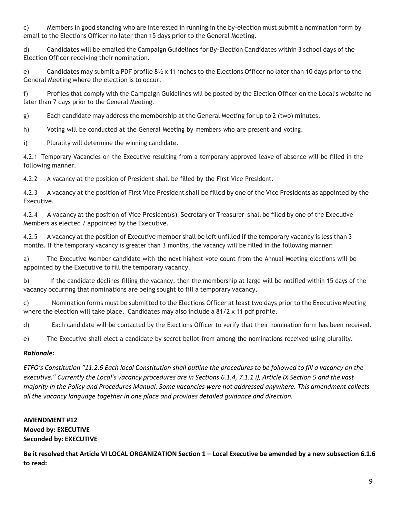c) Members in good standing who are interested in running in the by-election must submit a nomination form by email to the Elections Officer no later than 15 days prior to the General Meeting.

d) Candidates will be emailed the Campaign Guidelines for By-Election Candidates within 3 school days of the Election Officer receiving their nomination.

e) Candidates may submit a PDF profile 8½ x 11 inches to the Elections Officer no later than 10 days prior to the General Meeting where the election is to occur.

f) Profiles that comply with the Campaign Guidelines will be posted by the Election Officer on the Local's website no later than 7 days prior to the General Meeting.

g) Each candidate may address the membership at the General Meeting for up to 2 (two) minutes.

h) Voting will be conducted at the General Meeting by members who are present and voting.

i) Plurality will determine the winning candidate.

4.2.1 Temporary Vacancies on the Executive resulting from a temporary approved leave of absence will be filled in the following manner.

4.2.2 A vacancy at the position of President shall be filled by the First Vice President.

4.2.3 A vacancy at the position of First Vice President shall be filled by one of the Vice Presidents as appointed by the Executive.

4.2.4 A vacancy at the position of Vice President(s), Secretary or Treasurer shall be filled by one of the Executive Members as elected / appointed by the Executive.

4.2.5 A vacancy at the position of Executive member shall be left unfilled if the temporary vacancy is less than 3 months. If the temporary vacancy is greater than 3 months, the vacancy will be filled in the following manner:

a) The Executive Member candidate with the next highest vote count from the Annual Meeting elections will be appointed by the Executive to fill the temporary vacancy.

b) If the candidate declines filling the vacancy, then the membership at large will be notified within 15 days of the vacancy occurring that nominations are being sought to fill a temporary vacancy.

c) Nomination forms must be submitted to the Elections Officer at least two days prior to the Executive Meeting where the election will take place. Candidates may also include a 81/2 x 11 pdf profile.

d) Each candidate will be contacted by the Elections Officer to verify that their nomination form has been received.

e) The Executive shall elect a candidate by secret ballot from among the nominations received using plurality.

## *Rationale:*

*ETFO's Constitution "11.2.6 Each local Constitution shall outline the procedures to be followed to fill a vacancy on the executive." Currently the Local's vacancy procedures are in Sections 6.1.4, 7.1.1 i), Article IX Section 5 and the vast majority in the Policy and Procedures Manual. Some vacancies were not addressed anywhere. This amendment collects all the vacancy language together in one place and provides detailed guidance and direction.*

# **AMENDMENT #12 Moved by: EXECUTIVE Seconded by: EXECUTIVE**

**Be it resolved that Article VI LOCAL ORGANIZATION Section 1 – Local Executive be amended by a new subsection 6.1.6 to read:**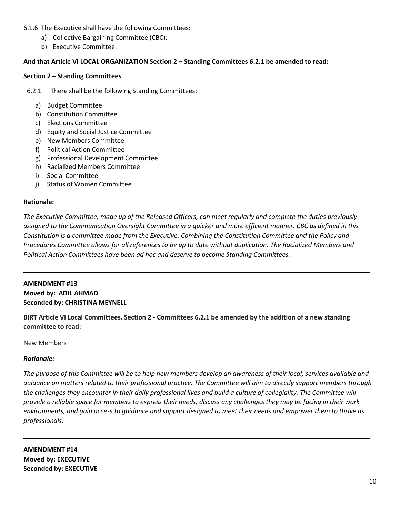- 6.1.6 The Executive shall have the following Committees:
	- a) Collective Bargaining Committee (CBC);
	- b) Executive Committee.

## **And that Article VI LOCAL ORGANIZATION Section 2 – Standing Committees 6.2.1 be amended to read:**

## **Section 2 – Standing Committees**

6.2.1 There shall be the following Standing Committees:

- a) Budget Committee
- b) Constitution Committee
- c) Elections Committee
- d) Equity and Social Justice Committee
- e) New Members Committee
- f) Political Action Committee
- g) Professional Development Committee
- h) Racialized Members Committee
- i) Social Committee
- j) Status of Women Committee

## **Rationale:**

*The Executive Committee, made up of the Released Officers, can meet regularly and complete the duties previously assigned to the Communication Oversight Committee in a quicker and more efficient manner. CBC as defined in this Constitution is a committee made from the Executive. Combining the Constitution Committee and the Policy and Procedures Committee allows for all references to be up to date without duplication. The Racialized Members and Political Action Committees have been ad hoc and deserve to become Standing Committees.*

## **AMENDMENT #13 Moved by: ADIL AHMAD Seconded by: CHRISTINA MEYNELL**

**BIRT Article VI Local Committees, Section 2 - Committees 6.2.1 be amended by the addition of a new standing committee to read:**

New Members

## *Rationale:*

*The purpose of this Committee will be to help new members develop an awareness of their local, services available and guidance on matters related to their professional practice. The Committee will aim to directly support members through the challenges they encounter in their daily professional lives and build a culture of collegiality. The Committee will provide a reliable space for members to express their needs, discuss any challenges they may be facing in their work environments, and gain access to guidance and support designed to meet their needs and empower them to thrive as professionals.*

**AMENDMENT #14 Moved by: EXECUTIVE Seconded by: EXECUTIVE**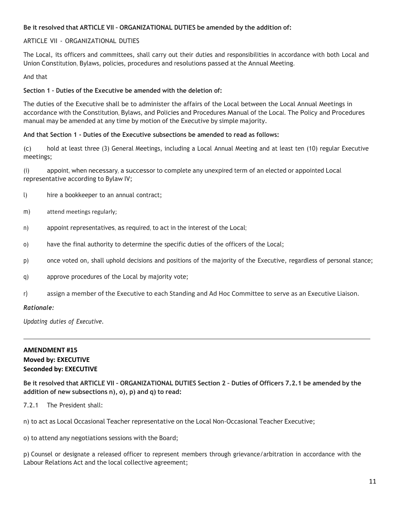## **Be it resolved that ARTICLE VII – ORGANIZATIONAL DUTIES be amended by the addition of:**

## ARTICLE VII - ORGANIZATIONAL DUTIES

The Local, its officers and committees, shall carry out their duties and responsibilities in accordance with both Local and Union Constitution, Bylaws, policies, procedures and resolutions passed at the Annual Meeting.

#### And that

#### **Section 1 – Duties of the Executive be amended with the deletion of:**

The duties of the Executive shall be to administer the affairs of the Local between the Local Annual Meetings in accordance with the Constitution, Bylaws, and Policies and Procedures Manual of the Local. The Policy and Procedures manual may be amended at any time by motion of the Executive by simple majority.

#### **And that Section 1 - Duties of the Executive subsections be amended to read as follows:**

(c) hold at least three (3) General Meetings, including a Local Annual Meeting and at least ten (10) regular Executive meetings;

(i) appoint, when necessary, a successor to complete any unexpired term of an elected or appointed Local representative according to Bylaw IV;

- l) hire a bookkeeper to an annual contract;
- m) attend meetings regularly;
- n) appoint representatives, as required, to act in the interest of the Local;
- o) have the final authority to determine the specific duties of the officers of the Local;
- p) once voted on, shall uphold decisions and positions of the majority of the Executive, regardless of personal stance;
- q) approve procedures of the Local by majority vote;
- r) assign a member of the Executive to each Standing and Ad Hoc Committee to serve as an Executive Liaison.

## *Rationale:*

*Updating duties of Executive.*

## **AMENDMENT #15 Moved by: EXECUTIVE Seconded by: EXECUTIVE**

Be it resolved that ARTICLE VII - ORGANIZATIONAL DUTIES Section 2 - Duties of Officers 7, 2, 1 be amended by the **addition of new subsections n), o), p) and q) to read:**

7.2.1 The President shall:

n) to act as Local Occasional Teacher representative on the Local Non-Occasional Teacher Executive;

o) to attend any negotiations sessions with the Board;

p) Counsel or designate a released officer to represent members through grievance/arbitration in accordance with the Labour Relations Act and the local collective agreement;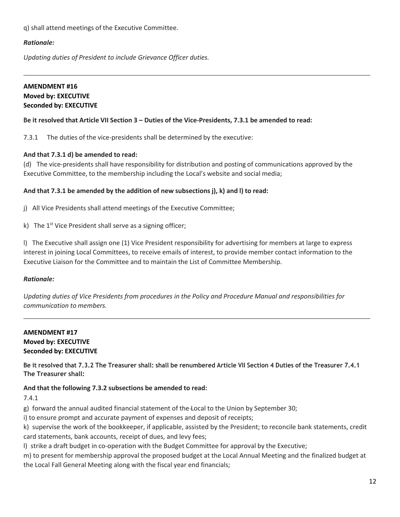q) shall attend meetings of the Executive Committee.

## *Rationale:*

*Updating duties of President to include Grievance Officer duties.*

## **AMENDMENT #16 Moved by: EXECUTIVE Seconded by: EXECUTIVE**

## Be it resolved that Article VII Section 3 – Duties of the Vice-Presidents, 7.3.1 be amended to read:

7.3.1 The duties of the vice-presidents shall be determined by the executive:

## **And that 7.3.1 d) be amended to read:**

(d) The vice-presidents shall have responsibility for distribution and posting of communications approved by the Executive Committee, to the membership including the Local's website and social media;

## **And that 7.3.1 be amended by the addition of new subsections j), k) and l) to read:**

j) All Vice Presidents shall attend meetings of the Executive Committee;

k) The 1<sup>st</sup> Vice President shall serve as a signing officer;

l) The Executive shall assign one (1) Vice President responsibility for advertising for members at large to express interest in joining Local Committees, to receive emails of interest, to provide member contact information to the Executive Liaison for the Committee and to maintain the List of Committee Membership.

## *Rationale:*

*Updating duties of Vice Presidents from procedures in the Policy and Procedure Manual and responsibilities for communication to members.*

## **AMENDMENT #17 Moved by: EXECUTIVE Seconded by: EXECUTIVE**

Be it resolved that 7.3.2 The Treasurer shall: shall be renumbered Article VII Section 4 Duties of the Treasurer 7.4.1 **The Treasurer shall:**

## **And that the following 7.3.2 subsections be amended to read:**

7.4.1

g) forward the annual audited financial statement of the Local to the Union by September 30;

i) to ensure prompt and accurate payment of expenses and deposit of receipts;

k) supervise the work of the bookkeeper, if applicable, assisted by the President; to reconcile bank statements, credit card statements, bank accounts, receipt of dues, and levy fees;

l) strike a draft budget in co-operation with the Budget Committee for approval by the Executive;

m) to present for membership approval the proposed budget at the Local Annual Meeting and the finalized budget at the Local Fall General Meeting along with the fiscal year end financials;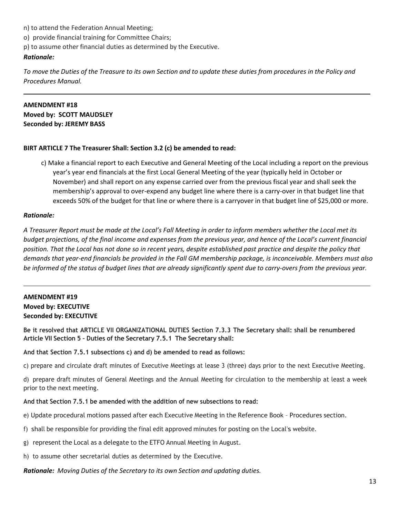- n) to attend the Federation Annual Meeting;
- o) provide financial training for Committee Chairs;
- p) to assume other financial duties as determined by the Executive.

#### *Rationale:*

To move the Duties of the Treasure to its own Section and to update these duties from procedures in the Policy and *Procedures Manual.*

## **AMENDMENT #18**

**Moved by: SCOTT MAUDSLEY Seconded by: JEREMY BASS**

## **BIRT ARTICLE 7 The Treasurer Shall: Section 3.2 (c) be amended to read:**

c) Make a financial report to each Executive and General Meeting of the Local including a report on the previous year's year end financials at the first Local General Meeting of the year (typically held in October or November) and shall report on any expense carried over from the previous fiscal year and shall seek the membership's approval to over-expend any budget line where there is a carry-over in that budget line that exceeds 50% of the budget for that line or where there is a carryover in that budget line of \$25,000 or more.

#### *Rationale:*

*A Treasurer Report must be made at the Local's Fall Meeting in order to inform members whether the Local met its budget projections, of the final income and expenses from the previous year, and hence of the Local's current financial position. That the Local has not done so in recent years, despite established past practice and despite the policy that demands that year-end financials be provided in the Fall GM membership package, is inconceivable. Members must also* be informed of the status of budget lines that are already significantly spent due to carry-overs from the previous year.

## **AMENDMENT #19 Moved by: EXECUTIVE Seconded by: EXECUTIVE**

**Be it resolved that ARTICLE VII ORGANIZATIONAL DUTIES Section 7.3.3 The Secretary shall: shall be renumbered Article VII Section 5 – Duties of the Secretary 7.5.1 The Secretary shall:**

**And that Section 7.5.1 subsections c) and d) be amended to read as follows:**

c) prepare and circulate draft minutes of Executive Meetings at lease 3 (three) days prior to the next Executive Meeting.

d) prepare draft minutes of General Meetings and the Annual Meeting for circulation to the membership at least a week prior to the next meeting.

#### **And that Section 7.5.1 be amended with the addition of new subsections to read:**

- e) Update procedural motions passed after each Executive Meeting in the Reference Book Procedures section.
- f) shall be responsible for providing the final edit approved minutes for posting on the Local's website.
- g) represent the Local as a delegate to the ETFO Annual Meeting in August.
- h) to assume other secretarial duties as determined by the Executive.

*Rationale: Moving Duties of the Secretary to its own Section and updating duties.*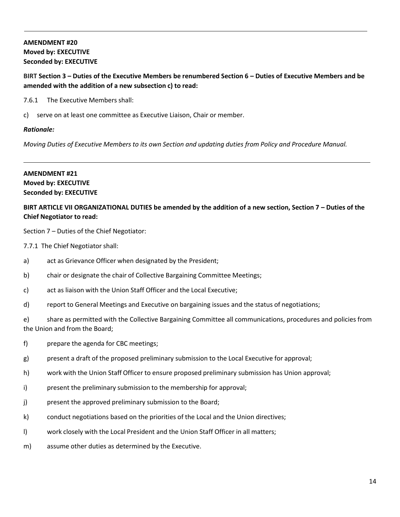# **AMENDMENT #20 Moved by: EXECUTIVE Seconded by: EXECUTIVE**

## **BIRT Section 3 – Duties of the Executive Members be renumbered Section 6 – Duties of Executive Members and be amended with the addition of a new subsection c) to read:**

7.6.1 The Executive Members shall:

c) serve on at least one committee as Executive Liaison, Chair or member.

## *Rationale:*

*Moving Duties of Executive Members to its own Section and updating duties from Policy and Procedure Manual.*

## **AMENDMENT #21 Moved by: EXECUTIVE Seconded by: EXECUTIVE**

## **BIRT ARTICLE VII ORGANIZATIONAL DUTIES be amended by the addition of a new section, Section 7 – Duties of the Chief Negotiator to read:**

Section 7 – Duties of the Chief Negotiator:

- 7.7.1 The Chief Negotiator shall:
- a) act as Grievance Officer when designated by the President;
- b) chair or designate the chair of Collective Bargaining Committee Meetings;
- c) act as liaison with the Union Staff Officer and the Local Executive;
- d) report to General Meetings and Executive on bargaining issues and the status of negotiations;

e) share as permitted with the Collective Bargaining Committee all communications, procedures and policies from the Union and from the Board;

- f) prepare the agenda for CBC meetings;
- g) present a draft of the proposed preliminary submission to the Local Executive for approval;
- h) work with the Union Staff Officer to ensure proposed preliminary submission has Union approval;
- i) present the preliminary submission to the membership for approval;
- j) present the approved preliminary submission to the Board;
- k) conduct negotiations based on the priorities of the Local and the Union directives;
- l) work closely with the Local President and the Union Staff Officer in all matters;
- m) assume other duties as determined by the Executive.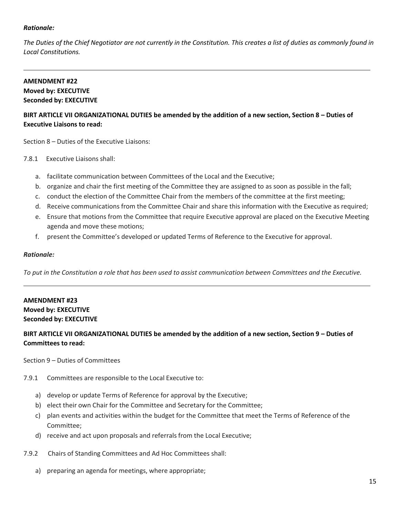## *Rationale:*

*The Duties of the Chief Negotiator are not currently in the Constitution. This creates a list of duties as commonly found in Local Constitutions.*

## **AMENDMENT #22 Moved by: EXECUTIVE Seconded by: EXECUTIVE**

# **BIRT ARTICLE VII ORGANIZATIONAL DUTIES be amended by the addition of a new section, Section 8 – Duties of Executive Liaisons to read:**

Section 8 – Duties of the Executive Liaisons:

- 7.8.1 Executive Liaisons shall:
	- a. facilitate communication between Committees of the Local and the Executive;
	- b. organize and chair the first meeting of the Committee they are assigned to as soon as possible in the fall;
	- c. conduct the election of the Committee Chair from the members of the committee at the first meeting;
	- d. Receive communications from the Committee Chair and share this information with the Executive as required;
	- e. Ensure that motions from the Committee that require Executive approval are placed on the Executive Meeting agenda and move these motions;
	- f. present the Committee's developed or updated Terms of Reference to the Executive for approval.

#### *Rationale:*

To put in the Constitution a role that has been used to assist communication between Committees and the Executive.

## **AMENDMENT #23 Moved by: EXECUTIVE Seconded by: EXECUTIVE**

## **BIRT ARTICLE VII ORGANIZATIONAL DUTIES be amended by the addition of a new section, Section 9 – Duties of Committees to read:**

Section 9 – Duties of Committees

- 7.9.1 Committees are responsible to the Local Executive to:
	- a) develop or update Terms of Reference for approval by the Executive;
	- b) elect their own Chair for the Committee and Secretary for the Committee;
	- c) plan events and activities within the budget for the Committee that meet the Terms of Reference of the Committee;
	- d) receive and act upon proposals and referralsfrom the Local Executive;
- 7.9.2 Chairs of Standing Committees and Ad Hoc Committees shall:
	- a) preparing an agenda for meetings, where appropriate;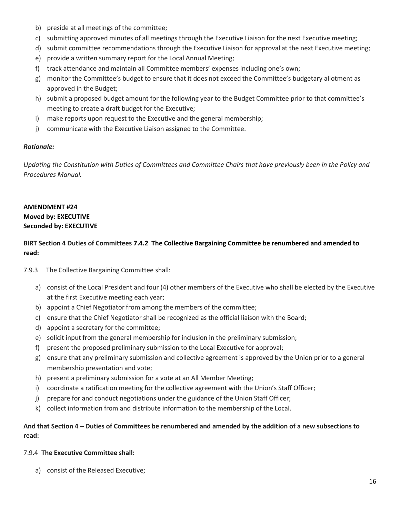- b) preside at all meetings of the committee;
- c) submitting approved minutes of all meetings through the Executive Liaison for the next Executive meeting;
- d) submit committee recommendations through the Executive Liaison for approval at the next Executive meeting;
- e) provide a written summary report for the Local Annual Meeting;
- f) track attendance and maintain all Committee members' expenses including one's own;
- g) monitor the Committee's budget to ensure that it does not exceed the Committee's budgetary allotment as approved in the Budget;
- h) submit a proposed budget amount for the following year to the Budget Committee prior to that committee's meeting to create a draft budget for the Executive;
- i) make reports upon request to the Executive and the general membership;
- j) communicate with the Executive Liaison assigned to the Committee.

## *Rationale:*

*Updating the Constitution with Duties of Committees and Committee Chairs that have previously been in the Policy and Procedures Manual.*

# **AMENDMENT #24 Moved by: EXECUTIVE Seconded by: EXECUTIVE**

## **BIRT Section 4 Duties of Committees 7.4.2 The Collective Bargaining Committee be renumbered and amended to read:**

- 7.9.3 The Collective Bargaining Committee shall:
	- a) consist of the Local President and four (4) other members of the Executive who shall be elected by the Executive at the first Executive meeting each year;
	- b) appoint a Chief Negotiator from among the members of the committee;
	- c) ensure that the Chief Negotiator shall be recognized as the official liaison with the Board;
	- d) appoint a secretary for the committee;
	- e) solicit input from the general membership for inclusion in the preliminary submission;
	- f) present the proposed preliminary submission to the Local Executive for approval;
	- g) ensure that any preliminary submission and collective agreement is approved by the Union prior to a general membership presentation and vote;
	- h) present a preliminary submission for a vote at an All Member Meeting;
	- i) coordinate a ratification meeting for the collective agreement with the Union's Staff Officer;
	- j) prepare for and conduct negotiations under the guidance of the Union Staff Officer;
	- k) collect information from and distribute information to the membership of the Local.

## **And that Section 4 – Duties of Committees be renumbered and amended by the addition of a new subsections to read:**

## 7.9.4 **The Executive Committee shall:**

a) consist of the Released Executive;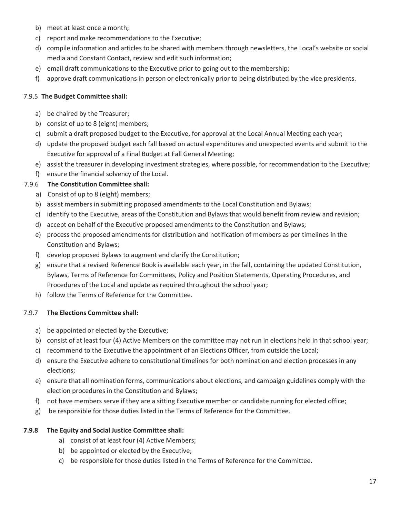- b) meet at least once a month;
- c) report and make recommendations to the Executive;
- d) compile information and articles to be shared with members through newsletters, the Local's website or social media and Constant Contact, review and edit such information;
- e) email draft communications to the Executive prior to going out to the membership;
- f) approve draft communications in person or electronically prior to being distributed by the vice presidents.

## 7.9.5 **The Budget Committee shall:**

- a) be chaired by the Treasurer;
- b) consist of up to 8 (eight) members;
- c) submit a draft proposed budget to the Executive, for approval at the Local Annual Meeting each year;
- d) update the proposed budget each fall based on actual expenditures and unexpected events and submit to the Executive for approval of a Final Budget at Fall General Meeting;
- e) assist the treasurer in developing investment strategies, where possible, for recommendation to the Executive;
- f) ensure the financial solvency of the Local.

## 7.9.6 **The Constitution Committee shall:**

- a) Consist of up to 8 (eight) members;
- b) assist members in submitting proposed amendments to the Local Constitution and Bylaws;
- c) identify to the Executive, areas of the Constitution and Bylaws that would benefit from review and revision;
- d) accept on behalf of the Executive proposed amendments to the Constitution and Bylaws;
- e) process the proposed amendments for distribution and notification of members as per timelines in the Constitution and Bylaws;
- f) develop proposed Bylaws to augment and clarify the Constitution;
- g) ensure that a revised Reference Book is available each year, in the fall, containing the updated Constitution, Bylaws, Terms of Reference for Committees, Policy and Position Statements, Operating Procedures, and Procedures of the Local and update as required throughout the school year;
- h) follow the Terms of Reference for the Committee.

## 7.9.7 **The Elections Committee shall:**

- a) be appointed or elected by the Executive;
- b) consist of at least four (4) Active Members on the committee may not run in elections held in that school year;
- c) recommend to the Executive the appointment of an Elections Officer, from outside the Local;
- d) ensure the Executive adhere to constitutional timelines for both nomination and election processes in any elections;
- e) ensure that all nomination forms, communications about elections, and campaign guidelines comply with the election procedures in the Constitution and Bylaws;
- f) not have members serve if they are a sitting Executive member or candidate running for elected office;
- g) be responsible for those duties listed in the Terms of Reference for the Committee.

## **7.9.8 The Equity and Social Justice Committee shall:**

- a) consist of at least four (4) Active Members;
- b) be appointed or elected by the Executive;
- c) be responsible for those duties listed in the Terms of Reference for the Committee.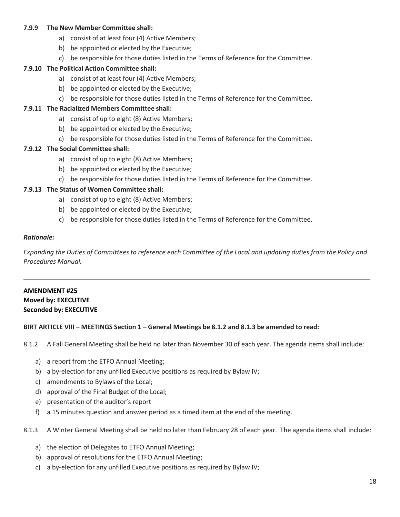## **7.9.9 The New Member Committee shall:**

- a) consist of at least four (4) Active Members;
- b) be appointed or elected by the Executive;
- c) be responsible for those duties listed in the Terms of Reference for the Committee.

## **7.9.10 The Political Action Committee shall:**

- a) consist of at least four (4) Active Members;
- b) be appointed or elected by the Executive;
- c) be responsible for those duties listed in the Terms of Reference for the Committee.

## **7.9.11 The Racialized Members Committee shall:**

- a) consist of up to eight (8) Active Members;
- b) be appointed or elected by the Executive;
- c) be responsible for those duties listed in the Terms of Reference for the Committee.

## **7.9.12 The Social Committee shall:**

- a) consist of up to eight (8) Active Members;
- b) be appointed or elected by the Executive;
- c) be responsible for those duties listed in the Terms of Reference for the Committee.

## **7.9.13 The Status of Women Committee shall:**

- a) consist of up to eight (8) Active Members;
- b) be appointed or elected by the Executive;
- c) be responsible for those duties listed in the Terms of Reference for the Committee.

## *Rationale:*

Expanding the Duties of Committees to reference each Committee of the Local and updating duties from the Policy and *Procedures Manual.*

## **AMENDMENT #25 Moved by: EXECUTIVE Seconded by: EXECUTIVE**

## **BIRT ARTICLE VIII – MEETINGS Section 1 – General Meetings be 8.1.2 and 8.1.3 be amended to read:**

8.1.2 A Fall General Meeting shall be held no later than November 30 of each year. The agenda items shall include:

- a) a report from the ETFO Annual Meeting;
- b) a by-election for any unfilled Executive positions as required by Bylaw IV;
- c) amendments to Bylaws of the Local;
- d) approval of the Final Budget of the Local;
- e) presentation of the auditor's report
- f) a 15 minutes question and answer period as a timed item at the end of the meeting.

8.1.3 A Winter General Meeting shall be held no later than February 28 of each year. The agenda items shall include:

- a) the election of Delegates to ETFO Annual Meeting;
- b) approval of resolutions for the ETFO Annual Meeting;
- c) a by-election for any unfilled Executive positions as required by Bylaw IV;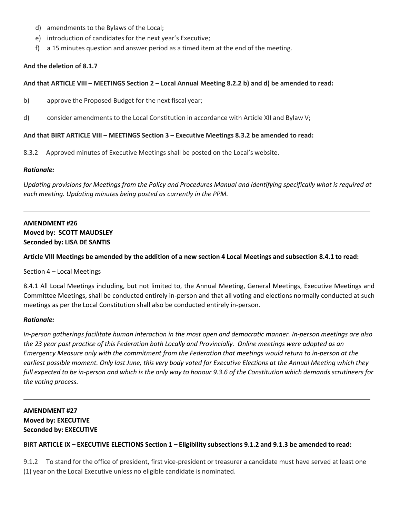- d) amendments to the Bylaws of the Local;
- e) introduction of candidates for the next year's Executive;
- f) a 15 minutes question and answer period as a timed item at the end of the meeting.

## **And the deletion of 8.1.7**

## And that ARTICLE VIII - MEETINGS Section 2 - Local Annual Meeting 8.2.2 b) and d) be amended to read:

- b) approve the Proposed Budget for the next fiscal year;
- d) consider amendments to the Local Constitution in accordance with Article XII and Bylaw V;

## **And that BIRT ARTICLE VIII – MEETINGS Section 3 – Executive Meetings 8.3.2 be amended to read:**

8.3.2 Approved minutes of Executive Meetings shall be posted on the Local's website.

## *Rationale:*

*Updating provisions for Meetings from the Policy and Procedures Manual and identifying specifically what is required at each meeting. Updating minutes being posted as currently in the PPM.*

# **AMENDMENT #26 Moved by: SCOTT MAUDSLEY Seconded by: LISA DE SANTIS**

## Article VIII Meetings be amended by the addition of a new section 4 Local Meetings and subsection 8.4.1 to read:

## Section 4 – Local Meetings

8.4.1 All Local Meetings including, but not limited to, the Annual Meeting, General Meetings, Executive Meetings and Committee Meetings, shall be conducted entirely in-person and that all voting and elections normally conducted at such meetings as per the Local Constitution shall also be conducted entirely in-person.

## *Rationale:*

*In-person gatherings facilitate human interaction in the most open and democratic manner. In-person meetings are also the 23 year past practice of this Federation both Locally and Provincially. Online meetings were adopted as an Emergency Measure only with the commitment from the Federation that meetings would return to in-person at the earliest possible moment. Only last June, this very body voted for Executive Elections at the Annual Meeting which they* full expected to be in-person and which is the only way to honour 9.3.6 of the Constitution which demands scrutineers for *the voting process.*

# **AMENDMENT #27 Moved by: EXECUTIVE Seconded by: EXECUTIVE**

## BIRT ARTICLE IX - EXECUTIVE ELECTIONS Section 1 - Eligibility subsections 9.1.2 and 9.1.3 be amended to read:

9.1.2 To stand for the office of president, first vice-president or treasurer a candidate must have served at least one (1) year on the Local Executive unless no eligible candidate is nominated.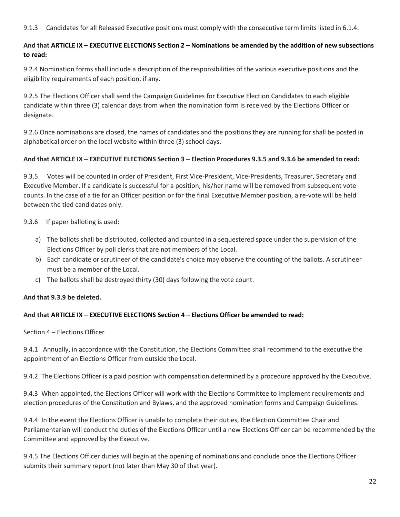## 9.1.3 Candidates for all Released Executive positions must comply with the consecutive term limits listed in 6.1.4.

## And that ARTICLE IX - EXECUTIVE ELECTIONS Section 2 - Nominations be amended by the addition of new subsections **to read:**

9.2.4 Nomination forms shall include a description of the responsibilities of the various executive positions and the eligibility requirements of each position, if any.

9.2.5 The Elections Officer shall send the Campaign Guidelines for Executive Election Candidates to each eligible candidate within three (3) calendar days from when the nomination form is received by the Elections Officer or designate.

9.2.6 Once nominations are closed, the names of candidates and the positions they are running for shall be posted in alphabetical order on the local website within three (3) school days.

## And that ARTICLE IX - EXECUTIVE ELECTIONS Section 3 - Election Procedures 9.3.5 and 9.3.6 be amended to read:

9.3.5 Votes will be counted in order of President, First Vice-President, Vice-Presidents, Treasurer, Secretary and Executive Member. If a candidate is successful for a position, his/her name will be removed from subsequent vote counts. In the case of a tie for an Officer position or for the final Executive Member position, a re-vote will be held between the tied candidates only.

9.3.6 If paper balloting is used:

- a) The ballots shall be distributed, collected and counted in a sequestered space under the supervision of the Elections Officer by poll clerks that are not members of the Local.
- b) Each candidate or scrutineer of the candidate's choice may observe the counting of the ballots. A scrutineer must be a member of the Local.
- c) The ballots shall be destroyed thirty (30) days following the vote count.

## **And that 9.3.9 be deleted.**

## **And that ARTICLE IX – EXECUTIVE ELECTIONS Section 4 – Elections Officer be amended to read:**

Section 4 – Elections Officer

9.4.1 Annually, in accordance with the Constitution, the Elections Committee shall recommend to the executive the appointment of an Elections Officer from outside the Local.

9.4.2 The Elections Officer is a paid position with compensation determined by a procedure approved by the Executive.

9.4.3 When appointed, the Elections Officer will work with the Elections Committee to implement requirements and election procedures of the Constitution and Bylaws, and the approved nomination forms and Campaign Guidelines.

9.4.4 In the event the Elections Officer is unable to complete their duties, the Election Committee Chair and Parliamentarian will conduct the duties of the Elections Officer until a new Elections Officer can be recommended by the Committee and approved by the Executive.

9.4.5 The Elections Officer duties will begin at the opening of nominations and conclude once the Elections Officer submits their summary report (not later than May 30 of that year).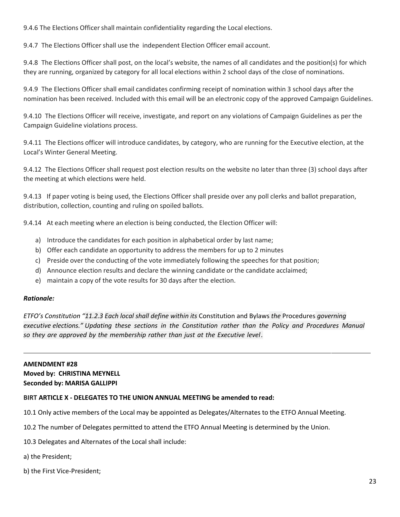9.4.6 The Elections Officer shall maintain confidentiality regarding the Local elections.

9.4.7 The Elections Officer shall use the independent Election Officer email account.

9.4.8 The Elections Officer shall post, on the local's website, the names of all candidates and the position(s) for which they are running, organized by category for all local elections within 2 school days of the close of nominations.

9.4.9 The Elections Officer shall email candidates confirming receipt of nomination within 3 school days after the nomination has been received. Included with this email will be an electronic copy of the approved Campaign Guidelines.

9.4.10 The Elections Officer will receive, investigate, and report on any violations of Campaign Guidelines as per the Campaign Guideline violations process.

9.4.11 The Elections officer will introduce candidates, by category, who are running for the Executive election, at the Local's Winter General Meeting.

9.4.12 The Elections Officer shall request post election results on the website no later than three (3) school days after the meeting at which elections were held.

9.4.13 If paper voting is being used, the Elections Officer shall preside over any poll clerks and ballot preparation, distribution, collection, counting and ruling on spoiled ballots.

9.4.14 At each meeting where an election is being conducted, the Election Officer will:

- a) Introduce the candidates for each position in alphabetical order by last name;
- b) Offer each candidate an opportunity to address the members for up to 2 minutes
- c) Preside over the conducting of the vote immediately following the speeches for that position;
- d) Announce election results and declare the winning candidate or the candidate acclaimed;
- e) maintain a copy of the vote results for 30 days after the election.

## *Rationale:*

*ETFO's Constitution "11.2.3 Each local shall define within its* Constitution and Bylaws *the* Procedures *governing executive elections." Updating these sections in the Constitution rather than the Policy and Procedures Manual so they are approved by the membership rather than just at the Executive level.*

## **AMENDMENT #28**

## **Moved by: CHRISTINA MEYNELL Seconded by: MARISA GALLIPPI**

## **BIRT ARTICLE X - DELEGATES TO THE UNION ANNUAL MEETING be amended to read:**

10.1 Only active members of the Local may be appointed as Delegates/Alternates to the ETFO Annual Meeting.

10.2 The number of Delegates permitted to attend the ETFO Annual Meeting is determined by the Union.

- 10.3 Delegates and Alternates of the Local shall include:
- a) the President;
- b) the First Vice-President;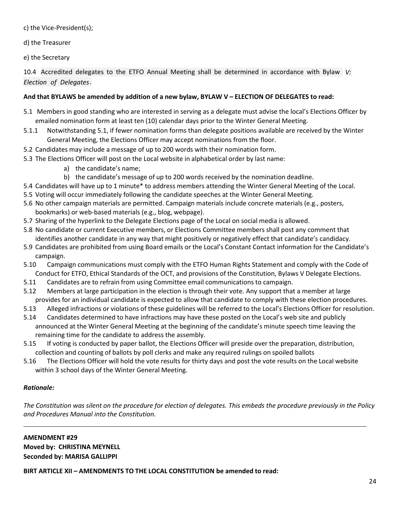c) the Vice-President(s);

d) the Treasurer

e) the Secretary

10.4 Accredited delegates to the ETFO Annual Meeting shall be determined in accordance with Bylaw *V:* . *Election of Delegates*

## **And that BYLAWS be amended by addition of a new bylaw, BYLAW V – ELECTION OF DELEGATES to read:**

- 5.1 Members in good standing who are interested in serving as a delegate must advise the local's Elections Officer by emailed nomination form at least ten (10) calendar days prior to the Winter General Meeting.
- 5.1.1 Notwithstanding 5.1, if fewer nomination forms than delegate positions available are received by the Winter General Meeting, the Elections Officer may accept nominations from the floor.
- 5.2 Candidates may include a message of up to 200 words with their nomination form.
- 5.3 The Elections Officer will post on the Local website in alphabetical order by last name:
	- a) the candidate's name;
	- b) the candidate's message of up to 200 words received by the nomination deadline.
- 5.4 Candidates will have up to 1 minute\* to address members attending the Winter General Meeting of the Local.
- 5.5 Voting will occur immediately following the candidate speeches at the Winter General Meeting.
- 5.6 No other campaign materials are permitted. Campaign materials include concrete materials (e.g., posters, bookmarks) or web-based materials (e.g., blog, webpage).
- 5.7 Sharing of the hyperlink to the Delegate Elections page of the Local on social media is allowed.
- 5.8 No candidate or current Executive members, or Elections Committee members shall post any comment that identifies another candidate in any way that might positively or negatively effect that candidate's candidacy.
- 5.9 Candidates are prohibited from using Board emails or the Local's Constant Contact information for the Candidate's campaign.
- 5.10 Campaign communications must comply with the ETFO Human Rights Statement and comply with the Code of Conduct for ETFO, Ethical Standards of the OCT, and provisions of the Constitution, Bylaws V Delegate Elections.
- 5.11 Candidates are to refrain from using Committee email communications to campaign.
- 5.12 Members at large participation in the election is through their vote. Any support that a member at large provides for an individual candidate is expected to allow that candidate to comply with these election procedures.
- 5.13 Alleged infractions or violations of these guidelines will be referred to the Local's Elections Officer for resolution.
- 5.14 Candidates determined to have infractions may have these posted on the Local's web site and publicly announced at the Winter General Meeting at the beginning of the candidate's minute speech time leaving the remaining time for the candidate to address the assembly.
- 5.15 If voting is conducted by paper ballot, the Elections Officer will preside over the preparation, distribution, collection and counting of ballots by poll clerks and make any required rulings on spoiled ballots
- 5.16 The Elections Officer will hold the vote results for thirty days and post the vote results on the Local website within 3 school days of the Winter General Meeting.

# *Rationale:*

*The Constitution was silent on the procedure for election of delegates. This embeds the procedure previously in the Policy and Procedures Manual into the Constitution.*

**AMENDMENT #29 Moved by: CHRISTINA MEYNELL Seconded by: MARISA GALLIPPI**

**BIRT ARTICLE XII – AMENDMENTS TO THE LOCAL CONSTITUTION be amended to read:**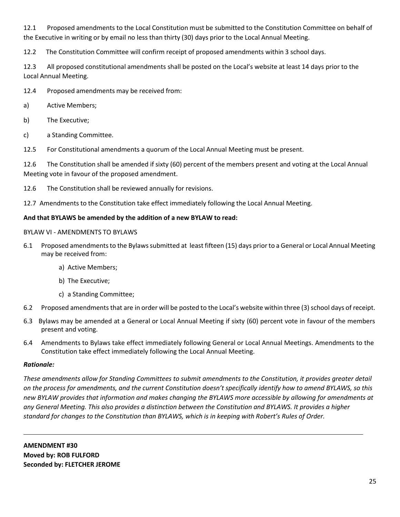12.1 Proposed amendments to the Local Constitution must be submitted to the Constitution Committee on behalf of the Executive in writing or by email no less than thirty (30) days prior to the Local Annual Meeting.

12.2 The Constitution Committee will confirm receipt of proposed amendments within 3 school days.

12.3 All proposed constitutional amendments shall be posted on the Local's website at least 14 days prior to the Local Annual Meeting.

12.4 Proposed amendments may be received from:

- a) Active Members;
- b) The Executive;
- c) a Standing Committee.

12.5 For Constitutional amendments a quorum of the Local Annual Meeting must be present.

12.6 The Constitution shall be amended if sixty (60) percent of the members present and voting at the Local Annual Meeting vote in favour of the proposed amendment.

12.6 The Constitution shall be reviewed annually for revisions.

12.7 Amendments to the Constitution take effect immediately following the Local Annual Meeting.

## **And that BYLAWS be amended by the addition of a new BYLAW to read:**

## BYLAW VI - AMENDMENTS TO BYLAWS

- 6.1 Proposed amendmentsto the Bylawssubmitted at least fifteen (15) days prior to a General or Local Annual Meeting may be received from:
	- a) Active Members;
	- b) The Executive;
	- c) a Standing Committee;
- 6.2 Proposed amendmentsthat are in order will be posted to the Local's website within three (3) school days of receipt.
- 6.3 Bylaws may be amended at a General or Local Annual Meeting if sixty (60) percent vote in favour of the members present and voting.
- 6.4 Amendments to Bylaws take effect immediately following General or Local Annual Meetings. Amendments to the Constitution take effect immediately following the Local Annual Meeting.

## *Rationale:*

*These amendments allow for Standing Committees to submit amendments to the Constitution, it provides greater detail on the process for amendments, and the current Constitution doesn't specifically identify how to amend BYLAWS, so this new BYLAW provides that information and makes changing the BYLAWS more accessible by allowing for amendments at any General Meeting. This also provides a distinction between the Constitution and BYLAWS. It provides a higher standard for changes to the Constitution than BYLAWS, which is in keeping with Robert's Rules of Order.*

**AMENDMENT #30 Moved by: ROB FULFORD Seconded by: FLETCHER JEROME**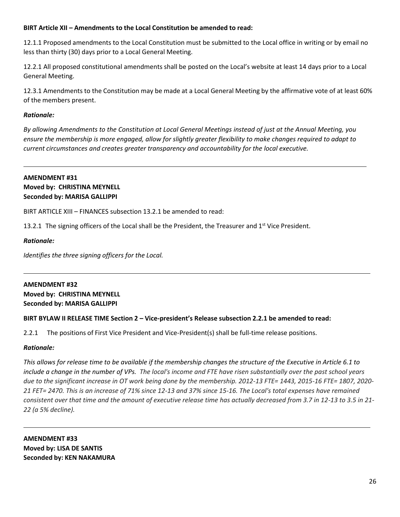## **BIRT Article XII – Amendments to the Local Constitution be amended to read:**

12.1.1 Proposed amendments to the Local Constitution must be submitted to the Local office in writing or by email no less than thirty (30) days prior to a Local General Meeting.

12.2.1 All proposed constitutional amendments shall be posted on the Local's website at least 14 days prior to a Local General Meeting.

12.3.1 Amendments to the Constitution may be made at a Local General Meeting by the affirmative vote of at least 60% of the members present.

## *Rationale:*

*By allowing Amendments to the Constitution at Local General Meetings instead of just at the Annual Meeting, you ensure the membership is more engaged, allow for slightly greater flexibility to make changes required to adapt to current circumstances and creates greater transparency and accountability for the local executive.*

## **AMENDMENT #31 Moved by: CHRISTINA MEYNELL Seconded by: MARISA GALLIPPI**

BIRT ARTICLE XIII – FINANCES subsection 13.2.1 be amended to read:

13.2.1 The signing officers of the Local shall be the President, the Treasurer and 1<sup>st</sup> Vice President.

## *Rationale:*

*Identifies the three signing officers for the Local.*

## **AMENDMENT #32 Moved by: CHRISTINA MEYNELL Seconded by: MARISA GALLIPPI**

## **BIRT BYLAW II RELEASE TIME Section 2 – Vice-president's Release subsection 2.2.1 be amended to read:**

2.2.1 The positions of First Vice President and Vice-President(s) shall be full-time release positions.

## *Rationale:*

*This allows for release time to be available if the membership changes the structure of the Executive in Article 6.1 to include a change in the number of VPs. The local's income and FTE have risen substantially over the past school years due to the significant increase in OT work being done by the membership. 2012-13 FTE= 1443, 2015-16 FTE= 1807, 2020- 21 FET= 2470. This is an increase of 71% since 12-13 and 37% since 15-16. The Local's total expenses have remained consistent over that time and the amount of executive release time has actually decreased from 3.7 in 12-13 to 3.5 in 21- 22 (a 5% decline).*

**AMENDMENT #33 Moved by: LISA DE SANTIS Seconded by: KEN NAKAMURA**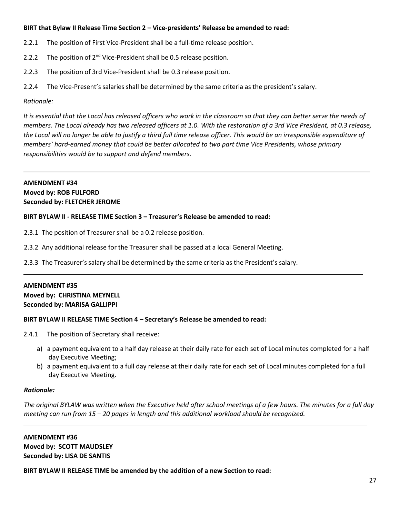## **BIRT that Bylaw II Release Time Section 2 – Vice-presidents' Release be amended to read:**

- 2.2.1 The position of First Vice-President shall be a full-time release position.
- 2.2.2 The position of  $2^{nd}$  Vice-President shall be 0.5 release position.
- 2.2.3 The position of 3rd Vice-President shall be 0.3 release position.
- 2.2.4 The Vice-Present's salaries shall be determined by the same criteria as the president's salary.

## *Rationale:*

*It is essential that the Local has released officers who work in the classroom so that they can better serve the needs of members. The Local already has two released officers at 1.0. With the restoration of a 3rd Vice President, at 0.3 release, the Local will no longer be able to justify a third full time release officer. This would be an irresponsible expenditure of members` hard-earned money that could be better allocated to two part time Vice Presidents, whose primary responsibilities would be to support and defend members.*

## **AMENDMENT #34 Moved by: ROB FULFORD Seconded by: FLETCHER JEROME**

## **BIRT BYLAW II - RELEASE TIME Section 3 – Treasurer's Release be amended to read:**

2.3.1 The position of Treasurer shall be a 0.2 release position.

2.3.2 Any additional release for the Treasurer shall be passed at a local General Meeting.

2.3.3 The Treasurer's salary shall be determined by the same criteria as the President's salary.

## **AMENDMENT #35**

**Moved by: CHRISTINA MEYNELL Seconded by: MARISA GALLIPPI**

## **BIRT BYLAW II RELEASE TIME Section 4 – Secretary's Release be amended to read:**

- 2.4.1 The position of Secretary shall receive:
	- a) a payment equivalent to a half day release at their daily rate for each set of Local minutes completed for a half day Executive Meeting;
	- b) a payment equivalent to a full day release at their daily rate for each set of Local minutes completed for a full day Executive Meeting.

## *Rationale:*

*The original BYLAW was written when the Executive held after school meetings of a few hours. The minutes for a full day meeting can run from 15 – 20 pages in length and this additional workload should be recognized.*

**AMENDMENT #36 Moved by: SCOTT MAUDSLEY Seconded by: LISA DE SANTIS**

**BIRT BYLAW II RELEASE TIME be amended by the addition of a new Section to read:**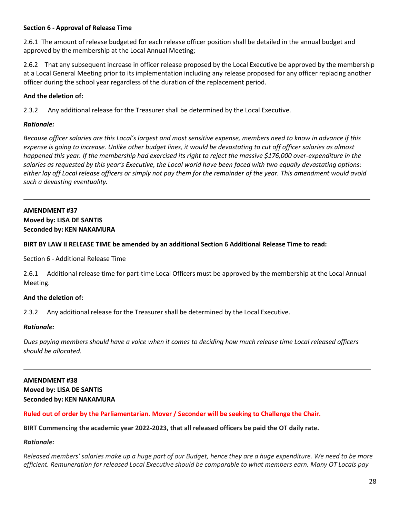## **Section 6 - Approval of Release Time**

2.6.1 The amount of release budgeted for each release officer position shall be detailed in the annual budget and approved by the membership at the Local Annual Meeting;

2.6.2 That any subsequent increase in officer release proposed by the Local Executive be approved by the membership at a Local General Meeting prior to its implementation including any release proposed for any officer replacing another officer during the school year regardless of the duration of the replacement period.

## **And the deletion of:**

2.3.2 Any additional release for the Treasurer shall be determined by the Local Executive.

## *Rationale:*

*Because officer salaries are this Local's largest and most sensitive expense, members need to know in advance if this expense is going to increase. Unlike other budget lines, it would be devastating to cut off officer salaries as almost happened this year. If the membership had exercised its right to reject the massive \$176,000 over-expenditure in the salaries as requested by this year's Executive, the Local world have been faced with two equally devastating options: either lay off Local release officers or simply not pay them for the remainder of the year. This amendment would avoid such a devasting eventuality.*

## **AMENDMENT #37**

**Moved by: LISA DE SANTIS Seconded by: KEN NAKAMURA**

## **BIRT BY LAW II RELEASE TIME be amended by an additional Section 6 Additional Release Time to read:**

Section 6 - Additional Release Time

2.6.1 Additional release time for part-time Local Officers must be approved by the membership at the Local Annual Meeting.

## **And the deletion of:**

2.3.2 Any additional release for the Treasurer shall be determined by the Local Executive.

## *Rationale:*

*Dues paying members should have a voice when it comes to deciding how much release time Local released officers should be allocated.*

## **AMENDMENT #38 Moved by: LISA DE SANTIS Seconded by: KEN NAKAMURA**

## **Ruled out of order by the Parliamentarian. Mover / Seconder will be seeking to Challenge the Chair.**

**BIRT Commencing the academic year 2022-2023, that all released officers be paid the OT daily rate.**

## *Rationale:*

Released members' salaries make up a huge part of our Budget, hence they are a huge expenditure. We need to be more efficient. Remuneration for released Local Executive should be comparable to what members earn. Many OT Locals pay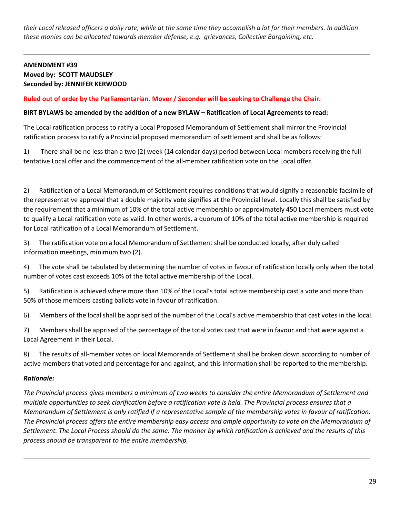their Local released officers a daily rate, while at the same time they accomplish a lot for their members. In addition *these monies can be allocated towards member defense, e.g. grievances, Collective Bargaining, etc.*

# **AMENDMENT #39 Moved by: SCOTT MAUDSLEY Seconded by: JENNIFER KERWOOD**

## **Ruled out of order by the Parliamentarian. Mover / Seconder will be seeking to Challenge the Chair.**

## **BIRT BYLAWS be amended by the addition of a new BYLAW – Ratification of Local Agreements to read:**

The Local ratification process to ratify a Local Proposed Memorandum of Settlement shall mirror the Provincial ratification process to ratify a Provincial proposed memorandum of settlement and shall be as follows:

1) There shall be no less than a two (2) week (14 calendar days) period between Local members receiving the full tentative Local offer and the commencement of the all-member ratification vote on the Local offer.

2) Ratification of a Local Memorandum of Settlement requires conditions that would signify a reasonable facsimile of the representative approval that a double majority vote signifies at the Provincial level. Locally this shall be satisfied by the requirement that a minimum of 10% of the total active membership or approximately 450 Local members must vote to qualify a Local ratification vote as valid. In other words, a quorum of 10% of the total active membership is required for Local ratification of a Local Memorandum of Settlement.

3) The ratification vote on a local Memorandum of Settlement shall be conducted locally, after duly called information meetings, minimum two (2).

4) The vote shall be tabulated by determining the number of votes in favour of ratification locally only when the total number of votes cast exceeds 10% of the total active membership of the Local.

5) Ratification is achieved where more than 10% of the Local's total active membership cast a vote and more than 50% of those members casting ballots vote in favour of ratification.

6) Members of the local shall be apprised of the number of the Local's active membership that cast votes in the local.

7) Members shall be apprised of the percentage of the total votes cast that were in favour and that were against a Local Agreement in their Local.

8) The results of all-member votes on local Memoranda of Settlement shall be broken down according to number of active members that voted and percentage for and against, and this information shall be reported to the membership.

## *Rationale:*

*The Provincial process gives members a minimum of two weeks to consider the entire Memorandum of Settlement and multiple opportunities to seek clarification before a ratification vote is held. The Provincial process ensures that a Memorandum of Settlement is only ratified if a representative sample of the membership votes in favour of ratification. The Provincial process offers the entire membership easy access and ample opportunity to vote on the Memorandum of Settlement. The Local Process should do the same. The manner by which ratification is achieved and the results of this process should be transparent to the entire membership.*